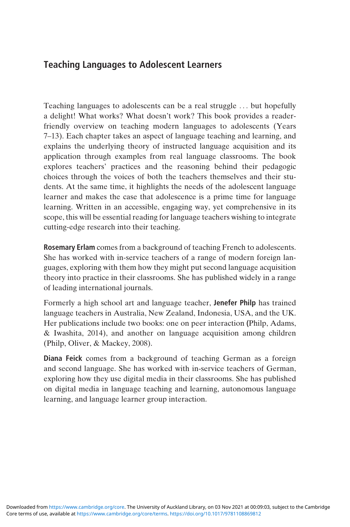## Teaching Languages to Adolescent Learners

Teaching languages to adolescents can be a real struggle ... but hopefully a delight! What works? What doesn't work? This book provides a readerfriendly overview on teaching modern languages to adolescents (Years 7–13). Each chapter takes an aspect of language teaching and learning, and explains the underlying theory of instructed language acquisition and its application through examples from real language classrooms. The book explores teachers' practices and the reasoning behind their pedagogic choices through the voices of both the teachers themselves and their students. At the same time, it highlights the needs of the adolescent language learner and makes the case that adolescence is a prime time for language learning. Written in an accessible, engaging way, yet comprehensive in its scope, this will be essential reading for language teachers wishing to integrate cutting-edge research into their teaching.

Rosemary Erlam comes from a background of teaching French to adolescents. She has worked with in-service teachers of a range of modern foreign languages, exploring with them how they might put second language acquisition theory into practice in their classrooms. She has published widely in a range of leading international journals.

Formerly a high school art and language teacher, Jenefer Philp has trained language teachers in Australia, New Zealand, Indonesia, USA, and the UK. Her publications include two books: one on peer interaction (Philp, Adams, & Iwashita, 2014), and another on language acquisition among children (Philp, Oliver, & Mackey, 2008).

Diana Feick comes from a background of teaching German as a foreign and second language. She has worked with in-service teachers of German, exploring how they use digital media in their classrooms. She has published on digital media in language teaching and learning, autonomous language learning, and language learner group interaction.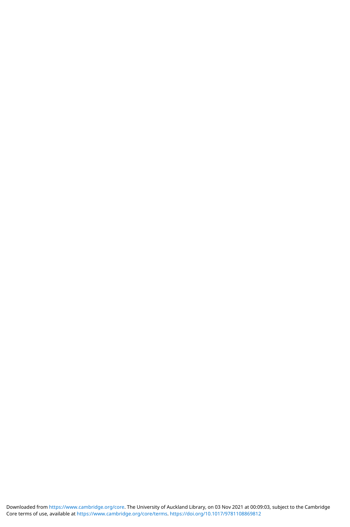Downloaded from https://www.cambridge.org/core. The University of Auckland Library, on 03 Nov 2021 at 00:09:03, subject to the Cambridge<br>Core terms of use, available at <https://www.cambridge.org/core/terms>. https://doi.org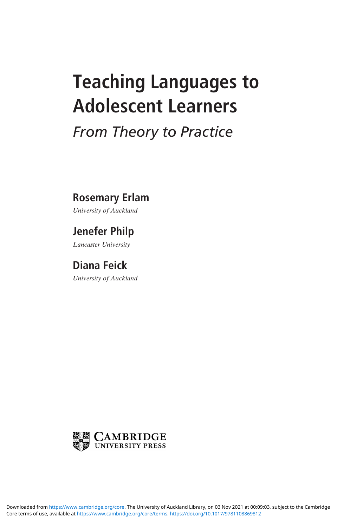## Teaching Languages to Adolescent Learners

From Theory to Practice

Rosemary Erlam

University of Auckland

Jenefer Philp Lancaster University

Diana Feick University of Auckland